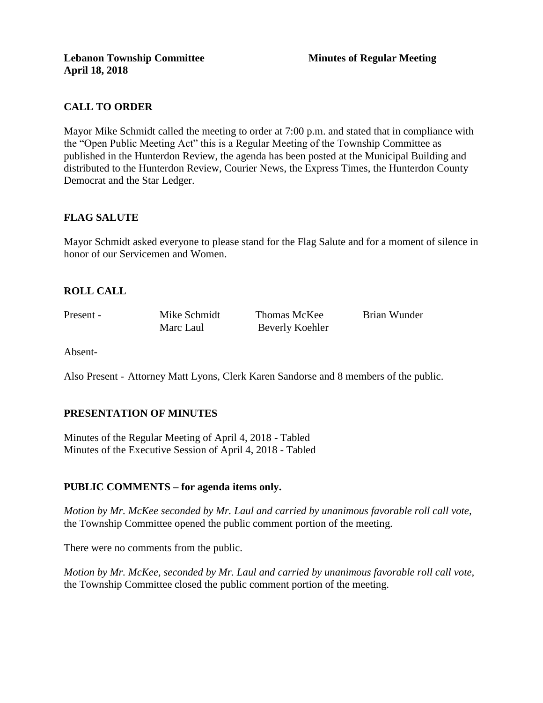# **CALL TO ORDER**

Mayor Mike Schmidt called the meeting to order at 7:00 p.m. and stated that in compliance with the "Open Public Meeting Act" this is a Regular Meeting of the Township Committee as published in the Hunterdon Review, the agenda has been posted at the Municipal Building and distributed to the Hunterdon Review, Courier News, the Express Times, the Hunterdon County Democrat and the Star Ledger.

# **FLAG SALUTE**

Mayor Schmidt asked everyone to please stand for the Flag Salute and for a moment of silence in honor of our Servicemen and Women.

# **ROLL CALL**

Present - Mike Schmidt Thomas McKee Brian Wunder Marc Laul Beverly Koehler

Absent-

Also Present - Attorney Matt Lyons, Clerk Karen Sandorse and 8 members of the public.

# **PRESENTATION OF MINUTES**

Minutes of the Regular Meeting of April 4, 2018 - Tabled Minutes of the Executive Session of April 4, 2018 - Tabled

# **PUBLIC COMMENTS – for agenda items only.**

*Motion by Mr. McKee seconded by Mr. Laul and carried by unanimous favorable roll call vote,*  the Township Committee opened the public comment portion of the meeting.

There were no comments from the public.

*Motion by Mr. McKee, seconded by Mr. Laul and carried by unanimous favorable roll call vote,* the Township Committee closed the public comment portion of the meeting.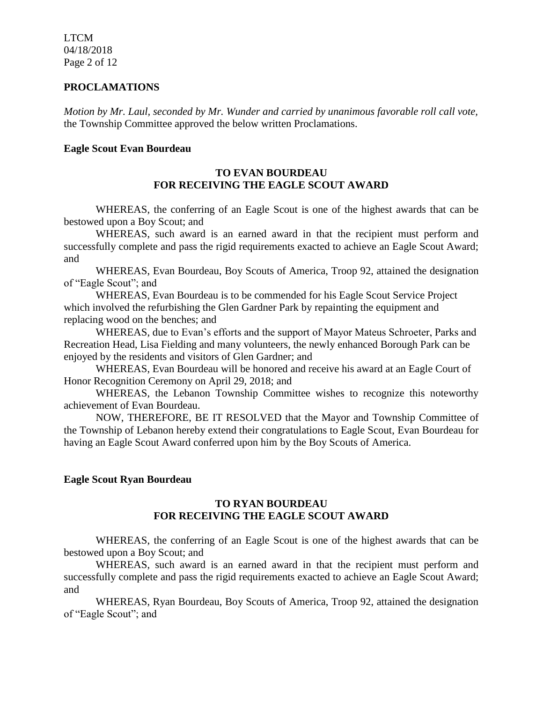LTCM 04/18/2018 Page 2 of 12

#### **PROCLAMATIONS**

*Motion by Mr. Laul, seconded by Mr. Wunder and carried by unanimous favorable roll call vote,*  the Township Committee approved the below written Proclamations.

#### **Eagle Scout Evan Bourdeau**

### **TO EVAN BOURDEAU FOR RECEIVING THE EAGLE SCOUT AWARD**

WHEREAS, the conferring of an Eagle Scout is one of the highest awards that can be bestowed upon a Boy Scout; and

WHEREAS, such award is an earned award in that the recipient must perform and successfully complete and pass the rigid requirements exacted to achieve an Eagle Scout Award; and

WHEREAS, Evan Bourdeau, Boy Scouts of America, Troop 92, attained the designation of "Eagle Scout"; and

WHEREAS, Evan Bourdeau is to be commended for his Eagle Scout Service Project which involved the refurbishing the Glen Gardner Park by repainting the equipment and replacing wood on the benches; and

WHEREAS, due to Evan's efforts and the support of Mayor Mateus Schroeter, Parks and Recreation Head, Lisa Fielding and many volunteers, the newly enhanced Borough Park can be enjoyed by the residents and visitors of Glen Gardner; and

WHEREAS, Evan Bourdeau will be honored and receive his award at an Eagle Court of Honor Recognition Ceremony on April 29, 2018; and

WHEREAS, the Lebanon Township Committee wishes to recognize this noteworthy achievement of Evan Bourdeau.

NOW, THEREFORE, BE IT RESOLVED that the Mayor and Township Committee of the Township of Lebanon hereby extend their congratulations to Eagle Scout, Evan Bourdeau for having an Eagle Scout Award conferred upon him by the Boy Scouts of America.

#### **Eagle Scout Ryan Bourdeau**

### **TO RYAN BOURDEAU FOR RECEIVING THE EAGLE SCOUT AWARD**

WHEREAS, the conferring of an Eagle Scout is one of the highest awards that can be bestowed upon a Boy Scout; and

WHEREAS, such award is an earned award in that the recipient must perform and successfully complete and pass the rigid requirements exacted to achieve an Eagle Scout Award; and

WHEREAS, Ryan Bourdeau, Boy Scouts of America, Troop 92, attained the designation of "Eagle Scout"; and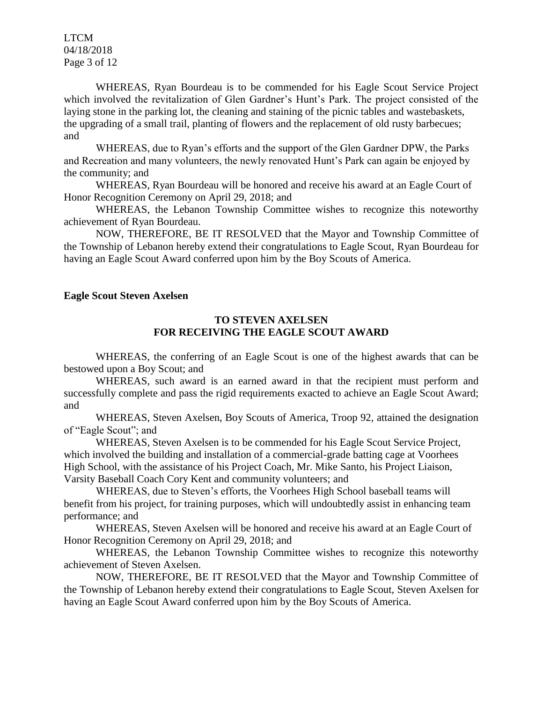LTCM 04/18/2018 Page 3 of 12

WHEREAS, Ryan Bourdeau is to be commended for his Eagle Scout Service Project which involved the revitalization of Glen Gardner's Hunt's Park. The project consisted of the laying stone in the parking lot, the cleaning and staining of the picnic tables and wastebaskets, the upgrading of a small trail, planting of flowers and the replacement of old rusty barbecues; and

WHEREAS, due to Ryan's efforts and the support of the Glen Gardner DPW, the Parks and Recreation and many volunteers, the newly renovated Hunt's Park can again be enjoyed by the community; and

WHEREAS, Ryan Bourdeau will be honored and receive his award at an Eagle Court of Honor Recognition Ceremony on April 29, 2018; and

WHEREAS, the Lebanon Township Committee wishes to recognize this noteworthy achievement of Ryan Bourdeau.

NOW, THEREFORE, BE IT RESOLVED that the Mayor and Township Committee of the Township of Lebanon hereby extend their congratulations to Eagle Scout, Ryan Bourdeau for having an Eagle Scout Award conferred upon him by the Boy Scouts of America.

#### **Eagle Scout Steven Axelsen**

#### **TO STEVEN AXELSEN FOR RECEIVING THE EAGLE SCOUT AWARD**

WHEREAS, the conferring of an Eagle Scout is one of the highest awards that can be bestowed upon a Boy Scout; and

WHEREAS, such award is an earned award in that the recipient must perform and successfully complete and pass the rigid requirements exacted to achieve an Eagle Scout Award; and

WHEREAS, Steven Axelsen, Boy Scouts of America, Troop 92, attained the designation of "Eagle Scout"; and

WHEREAS, Steven Axelsen is to be commended for his Eagle Scout Service Project, which involved the building and installation of a commercial-grade batting cage at Voorhees High School, with the assistance of his Project Coach, Mr. Mike Santo, his Project Liaison, Varsity Baseball Coach Cory Kent and community volunteers; and

WHEREAS, due to Steven's efforts, the Voorhees High School baseball teams will benefit from his project, for training purposes, which will undoubtedly assist in enhancing team performance; and

WHEREAS, Steven Axelsen will be honored and receive his award at an Eagle Court of Honor Recognition Ceremony on April 29, 2018; and

WHEREAS, the Lebanon Township Committee wishes to recognize this noteworthy achievement of Steven Axelsen.

NOW, THEREFORE, BE IT RESOLVED that the Mayor and Township Committee of the Township of Lebanon hereby extend their congratulations to Eagle Scout, Steven Axelsen for having an Eagle Scout Award conferred upon him by the Boy Scouts of America.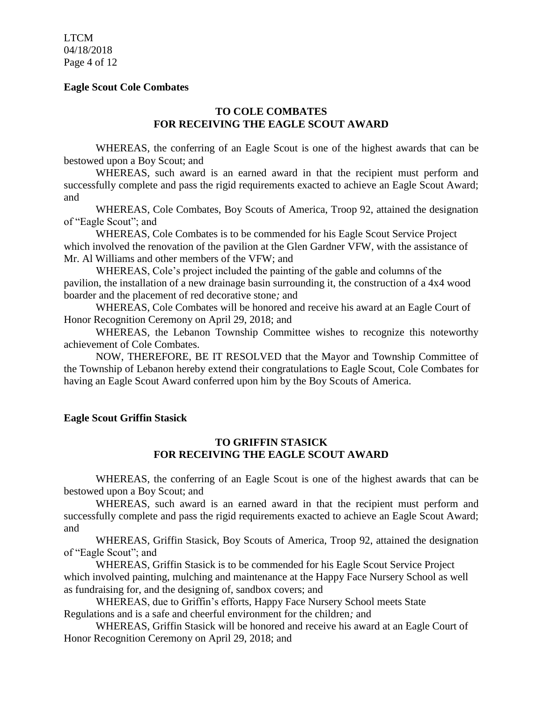LTCM 04/18/2018 Page 4 of 12

#### **Eagle Scout Cole Combates**

### **TO COLE COMBATES FOR RECEIVING THE EAGLE SCOUT AWARD**

WHEREAS, the conferring of an Eagle Scout is one of the highest awards that can be bestowed upon a Boy Scout; and

WHEREAS, such award is an earned award in that the recipient must perform and successfully complete and pass the rigid requirements exacted to achieve an Eagle Scout Award; and

WHEREAS, Cole Combates, Boy Scouts of America, Troop 92, attained the designation of "Eagle Scout"; and

WHEREAS, Cole Combates is to be commended for his Eagle Scout Service Project which involved the renovation of the pavilion at the Glen Gardner VFW, with the assistance of Mr. Al Williams and other members of the VFW; and

WHEREAS, Cole's project included the painting of the gable and columns of the pavilion, the installation of a new drainage basin surrounding it, the construction of a 4x4 wood boarder and the placement of red decorative stone*;* and

WHEREAS, Cole Combates will be honored and receive his award at an Eagle Court of Honor Recognition Ceremony on April 29, 2018; and

WHEREAS, the Lebanon Township Committee wishes to recognize this noteworthy achievement of Cole Combates.

NOW, THEREFORE, BE IT RESOLVED that the Mayor and Township Committee of the Township of Lebanon hereby extend their congratulations to Eagle Scout, Cole Combates for having an Eagle Scout Award conferred upon him by the Boy Scouts of America.

#### **Eagle Scout Griffin Stasick**

#### **TO GRIFFIN STASICK FOR RECEIVING THE EAGLE SCOUT AWARD**

WHEREAS, the conferring of an Eagle Scout is one of the highest awards that can be bestowed upon a Boy Scout; and

WHEREAS, such award is an earned award in that the recipient must perform and successfully complete and pass the rigid requirements exacted to achieve an Eagle Scout Award; and

WHEREAS, Griffin Stasick, Boy Scouts of America, Troop 92, attained the designation of "Eagle Scout"; and

WHEREAS, Griffin Stasick is to be commended for his Eagle Scout Service Project which involved painting, mulching and maintenance at the Happy Face Nursery School as well as fundraising for, and the designing of, sandbox covers; and

WHEREAS, due to Griffin's efforts, Happy Face Nursery School meets State Regulations and is a safe and cheerful environment for the children*;* and

WHEREAS, Griffin Stasick will be honored and receive his award at an Eagle Court of Honor Recognition Ceremony on April 29, 2018; and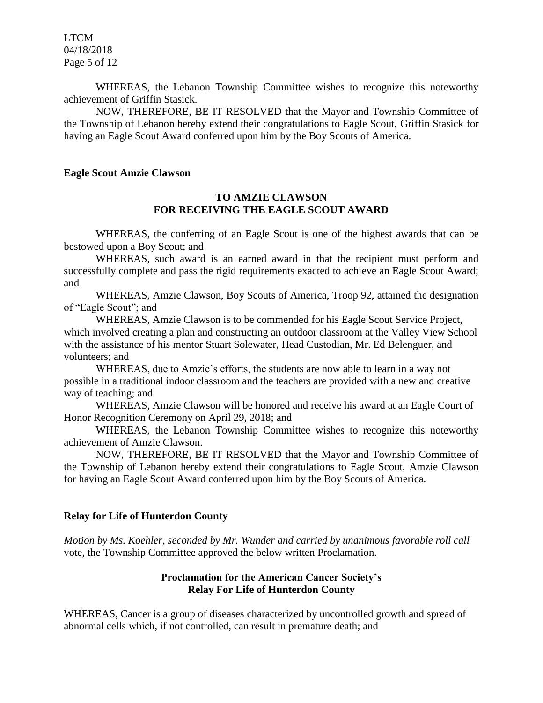LTCM 04/18/2018 Page 5 of 12

WHEREAS, the Lebanon Township Committee wishes to recognize this noteworthy achievement of Griffin Stasick.

NOW, THEREFORE, BE IT RESOLVED that the Mayor and Township Committee of the Township of Lebanon hereby extend their congratulations to Eagle Scout, Griffin Stasick for having an Eagle Scout Award conferred upon him by the Boy Scouts of America.

#### **Eagle Scout Amzie Clawson**

#### **TO AMZIE CLAWSON FOR RECEIVING THE EAGLE SCOUT AWARD**

WHEREAS, the conferring of an Eagle Scout is one of the highest awards that can be bestowed upon a Boy Scout; and

WHEREAS, such award is an earned award in that the recipient must perform and successfully complete and pass the rigid requirements exacted to achieve an Eagle Scout Award; and

WHEREAS, Amzie Clawson, Boy Scouts of America, Troop 92, attained the designation of "Eagle Scout"; and

WHEREAS, Amzie Clawson is to be commended for his Eagle Scout Service Project, which involved creating a plan and constructing an outdoor classroom at the Valley View School with the assistance of his mentor Stuart Solewater, Head Custodian, Mr. Ed Belenguer, and volunteers; and

WHEREAS, due to Amzie's efforts, the students are now able to learn in a way not possible in a traditional indoor classroom and the teachers are provided with a new and creative way of teaching; and

WHEREAS, Amzie Clawson will be honored and receive his award at an Eagle Court of Honor Recognition Ceremony on April 29, 2018; and

WHEREAS, the Lebanon Township Committee wishes to recognize this noteworthy achievement of Amzie Clawson.

NOW, THEREFORE, BE IT RESOLVED that the Mayor and Township Committee of the Township of Lebanon hereby extend their congratulations to Eagle Scout, Amzie Clawson for having an Eagle Scout Award conferred upon him by the Boy Scouts of America.

#### **Relay for Life of Hunterdon County**

*Motion by Ms. Koehler, seconded by Mr. Wunder and carried by unanimous favorable roll call*  vote, the Township Committee approved the below written Proclamation.

# **Proclamation for the American Cancer Society's Relay For Life of Hunterdon County**

WHEREAS, Cancer is a group of diseases characterized by uncontrolled growth and spread of abnormal cells which, if not controlled, can result in premature death; and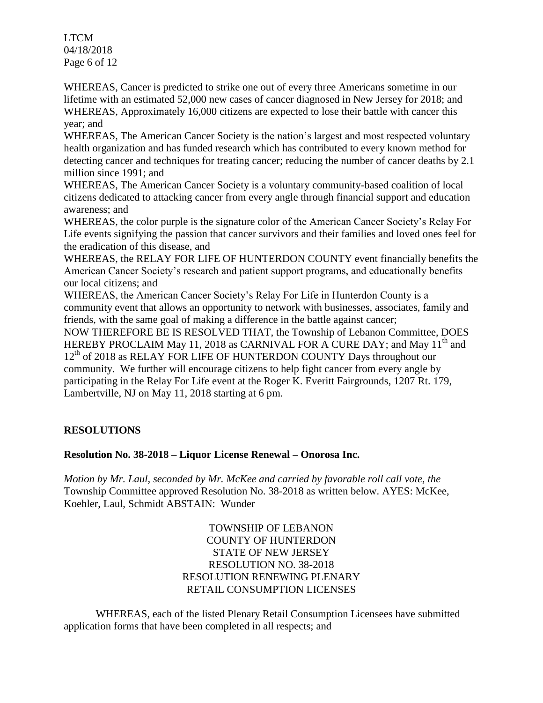LTCM 04/18/2018 Page 6 of 12

WHEREAS, Cancer is predicted to strike one out of every three Americans sometime in our lifetime with an estimated 52,000 new cases of cancer diagnosed in New Jersey for 2018; and WHEREAS, Approximately 16,000 citizens are expected to lose their battle with cancer this year; and

WHEREAS, The American Cancer Society is the nation's largest and most respected voluntary health organization and has funded research which has contributed to every known method for detecting cancer and techniques for treating cancer; reducing the number of cancer deaths by 2.1 million since 1991; and

WHEREAS, The American Cancer Society is a voluntary community-based coalition of local citizens dedicated to attacking cancer from every angle through financial support and education awareness; and

WHEREAS, the color purple is the signature color of the American Cancer Society's Relay For Life events signifying the passion that cancer survivors and their families and loved ones feel for the eradication of this disease, and

WHEREAS, the RELAY FOR LIFE OF HUNTERDON COUNTY event financially benefits the American Cancer Society's research and patient support programs, and educationally benefits our local citizens; and

WHEREAS, the American Cancer Society's Relay For Life in Hunterdon County is a community event that allows an opportunity to network with businesses, associates, family and friends, with the same goal of making a difference in the battle against cancer;

NOW THEREFORE BE IS RESOLVED THAT, the Township of Lebanon Committee, DOES HEREBY PROCLAIM May 11, 2018 as CARNIVAL FOR A CURE DAY; and May 11<sup>th</sup> and 12<sup>th</sup> of 2018 as RELAY FOR LIFE OF HUNTERDON COUNTY Days throughout our community. We further will encourage citizens to help fight cancer from every angle by participating in the Relay For Life event at the Roger K. Everitt Fairgrounds, 1207 Rt. 179, Lambertville, NJ on May 11, 2018 starting at 6 pm.

# **RESOLUTIONS**

# **Resolution No. 38-2018 – Liquor License Renewal – Onorosa Inc.**

*Motion by Mr. Laul, seconded by Mr. McKee and carried by favorable roll call vote, the* Township Committee approved Resolution No. 38-2018 as written below. AYES: McKee, Koehler, Laul, Schmidt ABSTAIN: Wunder

> TOWNSHIP OF LEBANON COUNTY OF HUNTERDON STATE OF NEW JERSEY RESOLUTION NO. 38-2018 RESOLUTION RENEWING PLENARY RETAIL CONSUMPTION LICENSES

WHEREAS, each of the listed Plenary Retail Consumption Licensees have submitted application forms that have been completed in all respects; and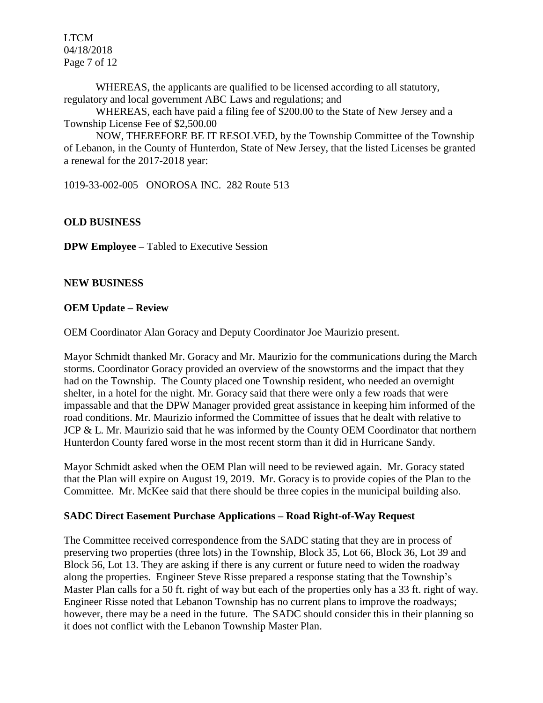LTCM 04/18/2018 Page 7 of 12

WHEREAS, the applicants are qualified to be licensed according to all statutory, regulatory and local government ABC Laws and regulations; and

WHEREAS, each have paid a filing fee of \$200.00 to the State of New Jersey and a Township License Fee of \$2,500.00

NOW, THEREFORE BE IT RESOLVED, by the Township Committee of the Township of Lebanon, in the County of Hunterdon, State of New Jersey, that the listed Licenses be granted a renewal for the 2017-2018 year:

1019-33-002-005 ONOROSA INC. 282 Route 513

### **OLD BUSINESS**

**DPW Employee –** Tabled to Executive Session

#### **NEW BUSINESS**

#### **OEM Update – Review**

OEM Coordinator Alan Goracy and Deputy Coordinator Joe Maurizio present.

Mayor Schmidt thanked Mr. Goracy and Mr. Maurizio for the communications during the March storms. Coordinator Goracy provided an overview of the snowstorms and the impact that they had on the Township. The County placed one Township resident, who needed an overnight shelter, in a hotel for the night. Mr. Goracy said that there were only a few roads that were impassable and that the DPW Manager provided great assistance in keeping him informed of the road conditions. Mr. Maurizio informed the Committee of issues that he dealt with relative to JCP & L. Mr. Maurizio said that he was informed by the County OEM Coordinator that northern Hunterdon County fared worse in the most recent storm than it did in Hurricane Sandy.

Mayor Schmidt asked when the OEM Plan will need to be reviewed again. Mr. Goracy stated that the Plan will expire on August 19, 2019. Mr. Goracy is to provide copies of the Plan to the Committee. Mr. McKee said that there should be three copies in the municipal building also.

#### **SADC Direct Easement Purchase Applications – Road Right-of-Way Request**

The Committee received correspondence from the SADC stating that they are in process of preserving two properties (three lots) in the Township, Block 35, Lot 66, Block 36, Lot 39 and Block 56, Lot 13. They are asking if there is any current or future need to widen the roadway along the properties. Engineer Steve Risse prepared a response stating that the Township's Master Plan calls for a 50 ft. right of way but each of the properties only has a 33 ft. right of way. Engineer Risse noted that Lebanon Township has no current plans to improve the roadways; however, there may be a need in the future. The SADC should consider this in their planning so it does not conflict with the Lebanon Township Master Plan.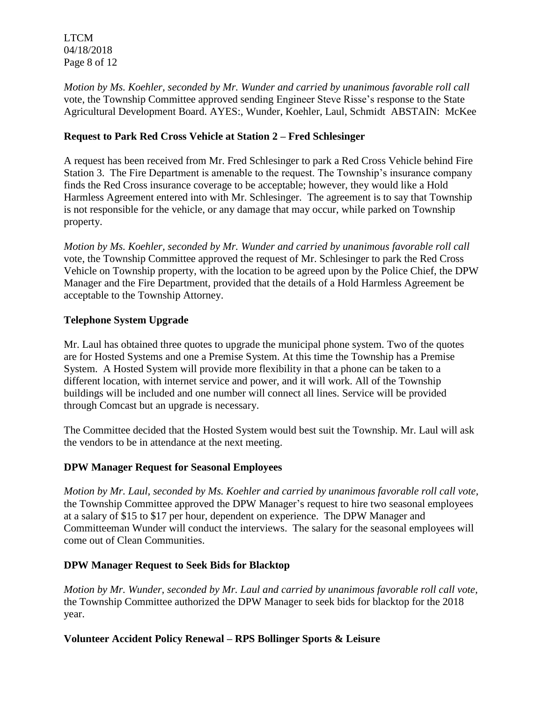LTCM 04/18/2018 Page 8 of 12

*Motion by Ms. Koehler, seconded by Mr. Wunder and carried by unanimous favorable roll call*  vote, the Township Committee approved sending Engineer Steve Risse's response to the State Agricultural Development Board. AYES:, Wunder, Koehler, Laul, Schmidt ABSTAIN: McKee

# **Request to Park Red Cross Vehicle at Station 2 – Fred Schlesinger**

A request has been received from Mr. Fred Schlesinger to park a Red Cross Vehicle behind Fire Station 3. The Fire Department is amenable to the request. The Township's insurance company finds the Red Cross insurance coverage to be acceptable; however, they would like a Hold Harmless Agreement entered into with Mr. Schlesinger. The agreement is to say that Township is not responsible for the vehicle, or any damage that may occur, while parked on Township property.

*Motion by Ms. Koehler, seconded by Mr. Wunder and carried by unanimous favorable roll call*  vote, the Township Committee approved the request of Mr. Schlesinger to park the Red Cross Vehicle on Township property, with the location to be agreed upon by the Police Chief, the DPW Manager and the Fire Department, provided that the details of a Hold Harmless Agreement be acceptable to the Township Attorney.

# **Telephone System Upgrade**

Mr. Laul has obtained three quotes to upgrade the municipal phone system. Two of the quotes are for Hosted Systems and one a Premise System. At this time the Township has a Premise System. A Hosted System will provide more flexibility in that a phone can be taken to a different location, with internet service and power, and it will work. All of the Township buildings will be included and one number will connect all lines. Service will be provided through Comcast but an upgrade is necessary.

The Committee decided that the Hosted System would best suit the Township. Mr. Laul will ask the vendors to be in attendance at the next meeting.

# **DPW Manager Request for Seasonal Employees**

*Motion by Mr. Laul, seconded by Ms. Koehler and carried by unanimous favorable roll call vote,*  the Township Committee approved the DPW Manager's request to hire two seasonal employees at a salary of \$15 to \$17 per hour, dependent on experience. The DPW Manager and Committeeman Wunder will conduct the interviews. The salary for the seasonal employees will come out of Clean Communities.

# **DPW Manager Request to Seek Bids for Blacktop**

*Motion by Mr. Wunder, seconded by Mr. Laul and carried by unanimous favorable roll call vote,*  the Township Committee authorized the DPW Manager to seek bids for blacktop for the 2018 year.

# **Volunteer Accident Policy Renewal – RPS Bollinger Sports & Leisure**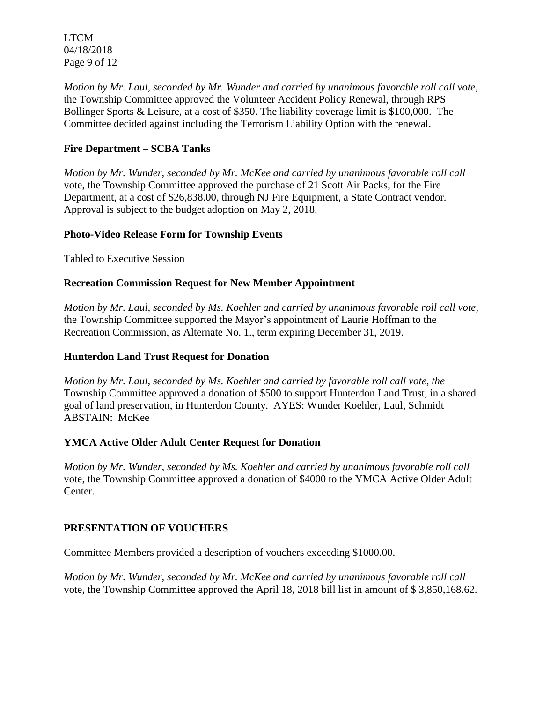LTCM 04/18/2018 Page 9 of 12

*Motion by Mr. Laul, seconded by Mr. Wunder and carried by unanimous favorable roll call vote,*  the Township Committee approved the Volunteer Accident Policy Renewal, through RPS Bollinger Sports & Leisure, at a cost of \$350. The liability coverage limit is \$100,000. The Committee decided against including the Terrorism Liability Option with the renewal.

# **Fire Department – SCBA Tanks**

*Motion by Mr. Wunder, seconded by Mr. McKee and carried by unanimous favorable roll call*  vote, the Township Committee approved the purchase of 21 Scott Air Packs, for the Fire Department, at a cost of \$26,838.00, through NJ Fire Equipment, a State Contract vendor. Approval is subject to the budget adoption on May 2, 2018.

# **Photo-Video Release Form for Township Events**

Tabled to Executive Session

### **Recreation Commission Request for New Member Appointment**

*Motion by Mr. Laul, seconded by Ms. Koehler and carried by unanimous favorable roll call vote,*  the Township Committee supported the Mayor's appointment of Laurie Hoffman to the Recreation Commission, as Alternate No. 1., term expiring December 31, 2019.

# **Hunterdon Land Trust Request for Donation**

*Motion by Mr. Laul, seconded by Ms. Koehler and carried by favorable roll call vote, the* Township Committee approved a donation of \$500 to support Hunterdon Land Trust, in a shared goal of land preservation, in Hunterdon County. AYES: Wunder Koehler, Laul, Schmidt ABSTAIN: McKee

# **YMCA Active Older Adult Center Request for Donation**

*Motion by Mr. Wunder, seconded by Ms. Koehler and carried by unanimous favorable roll call*  vote, the Township Committee approved a donation of \$4000 to the YMCA Active Older Adult Center.

# **PRESENTATION OF VOUCHERS**

Committee Members provided a description of vouchers exceeding \$1000.00.

*Motion by Mr. Wunder, seconded by Mr. McKee and carried by unanimous favorable roll call*  vote, the Township Committee approved the April 18, 2018 bill list in amount of \$ 3,850,168.62.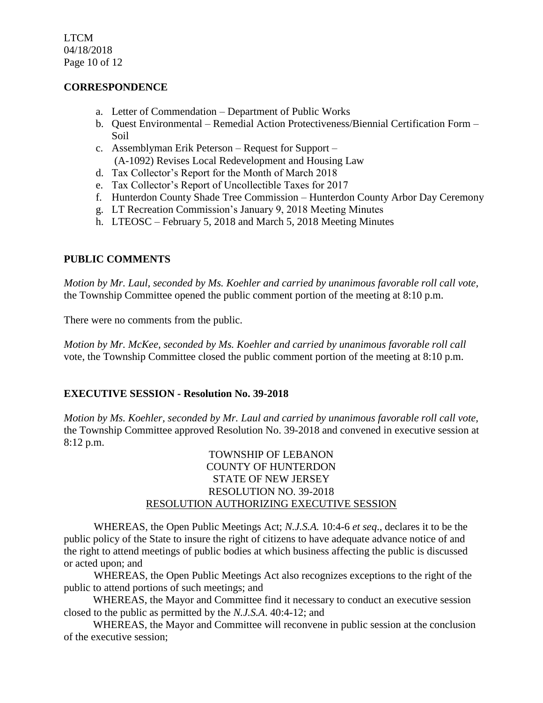LTCM 04/18/2018 Page 10 of 12

### **CORRESPONDENCE**

- a. Letter of Commendation Department of Public Works
- b. Quest Environmental Remedial Action Protectiveness/Biennial Certification Form Soil
- c. Assemblyman Erik Peterson Request for Support (A-1092) Revises Local Redevelopment and Housing Law
- d. Tax Collector's Report for the Month of March 2018
- e. Tax Collector's Report of Uncollectible Taxes for 2017
- f. Hunterdon County Shade Tree Commission Hunterdon County Arbor Day Ceremony
- g. LT Recreation Commission's January 9, 2018 Meeting Minutes
- h. LTEOSC February 5, 2018 and March 5, 2018 Meeting Minutes

### **PUBLIC COMMENTS**

*Motion by Mr. Laul, seconded by Ms. Koehler and carried by unanimous favorable roll call vote,* the Township Committee opened the public comment portion of the meeting at 8:10 p.m.

There were no comments from the public.

*Motion by Mr. McKee, seconded by Ms. Koehler and carried by unanimous favorable roll call*  vote, the Township Committee closed the public comment portion of the meeting at 8:10 p.m.

#### **EXECUTIVE SESSION - Resolution No. 39-2018**

*Motion by Ms. Koehler, seconded by Mr. Laul and carried by unanimous favorable roll call vote,* the Township Committee approved Resolution No. 39-2018 and convened in executive session at 8:12 p.m.

### TOWNSHIP OF LEBANON COUNTY OF HUNTERDON STATE OF NEW JERSEY RESOLUTION NO. 39-2018 RESOLUTION AUTHORIZING EXECUTIVE SESSION

WHEREAS, the Open Public Meetings Act; *N.J.S.A.* 10:4-6 *et seq*., declares it to be the public policy of the State to insure the right of citizens to have adequate advance notice of and the right to attend meetings of public bodies at which business affecting the public is discussed or acted upon; and

WHEREAS, the Open Public Meetings Act also recognizes exceptions to the right of the public to attend portions of such meetings; and

 WHEREAS, the Mayor and Committee find it necessary to conduct an executive session closed to the public as permitted by the *N.J.S.A*. 40:4-12; and

 WHEREAS, the Mayor and Committee will reconvene in public session at the conclusion of the executive session;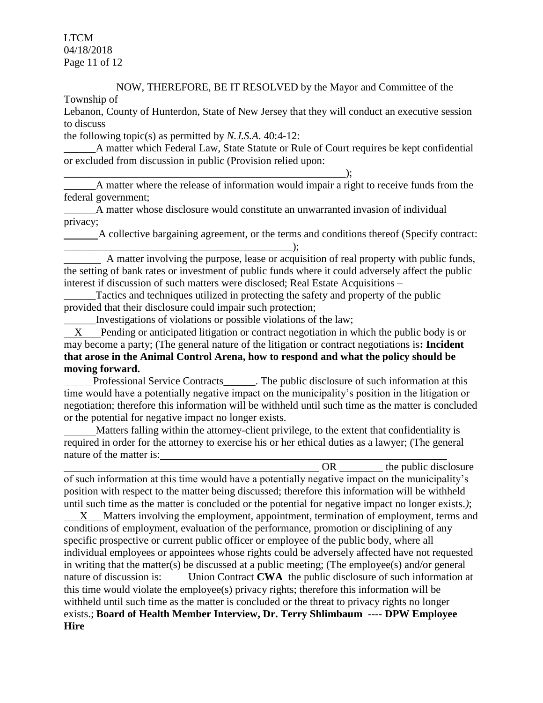LTCM 04/18/2018 Page 11 of 12

# NOW, THEREFORE, BE IT RESOLVED by the Mayor and Committee of the

Township of

Lebanon, County of Hunterdon, State of New Jersey that they will conduct an executive session to discuss

the following topic(s) as permitted by *N.J.S.A*. 40:4-12:

A matter which Federal Law, State Statute or Rule of Court requires be kept confidential or excluded from discussion in public (Provision relied upon:

 $\qquad \qquad ; \qquad$ A matter where the release of information would impair a right to receive funds from the federal government;

\_\_\_\_\_\_A matter whose disclosure would constitute an unwarranted invasion of individual privacy;

 A collective bargaining agreement, or the terms and conditions thereof (Specify contract: \_\_\_\_\_\_\_\_\_\_\_\_\_\_\_\_\_\_\_\_\_\_\_\_\_\_\_\_\_\_\_\_\_\_\_\_\_\_\_\_\_\_\_);

 A matter involving the purpose, lease or acquisition of real property with public funds, the setting of bank rates or investment of public funds where it could adversely affect the public interest if discussion of such matters were disclosed; Real Estate Acquisitions –

Tactics and techniques utilized in protecting the safety and property of the public provided that their disclosure could impair such protection;

\_\_\_\_\_\_Investigations of violations or possible violations of the law;

 X Pending or anticipated litigation or contract negotiation in which the public body is or may become a party; (The general nature of the litigation or contract negotiations is**: Incident that arose in the Animal Control Arena, how to respond and what the policy should be moving forward.**

Professional Service Contracts\_\_\_\_\_\_. The public disclosure of such information at this time would have a potentially negative impact on the municipality's position in the litigation or negotiation; therefore this information will be withheld until such time as the matter is concluded or the potential for negative impact no longer exists.

 Matters falling within the attorney-client privilege, to the extent that confidentiality is required in order for the attorney to exercise his or her ethical duties as a lawyer; (The general nature of the matter is:

OR the public disclosure of such information at this time would have a potentially negative impact on the municipality's position with respect to the matter being discussed; therefore this information will be withheld until such time as the matter is concluded or the potential for negative impact no longer exists.*)*;

 X Matters involving the employment, appointment, termination of employment, terms and conditions of employment, evaluation of the performance, promotion or disciplining of any specific prospective or current public officer or employee of the public body, where all individual employees or appointees whose rights could be adversely affected have not requested in writing that the matter(s) be discussed at a public meeting; (The employee(s) and/or general nature of discussion is: Union Contract **CWA** the public disclosure of such information at this time would violate the employee(s) privacy rights; therefore this information will be withheld until such time as the matter is concluded or the threat to privacy rights no longer exists.; **Board of Health Member Interview, Dr. Terry Shlimbaum** ---- **DPW Employee Hire**